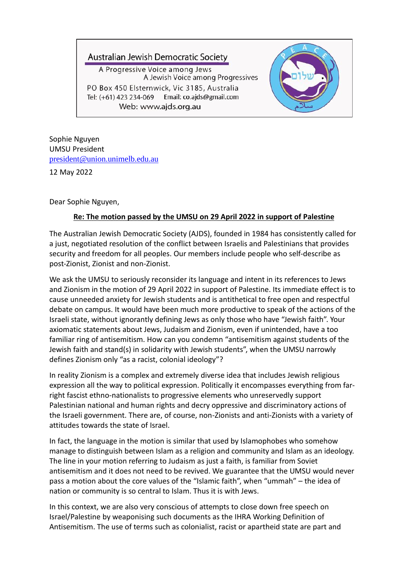## Australian Jewish Democratic Society

A Progressive Voice among Jews A Jewish Voice among Progressives PO Box 450 Elsternwick, Vic 3185, Australia Tel: (+61) 423 234-069 Email: co.ajds@gmail.com Web: www.ajds.org.au



Sophie Nguyen UMSU President [president@union.unimelb.edu.au](mailto:president@union.unimelb.edu.au?subject=UMSU%20President%20News%20-%20Statement%20on%20Ukraine)

12 May 2022

Dear Sophie Nguyen,

## **Re: The motion passed by the UMSU on 29 April 2022 in support of Palestine**

The Australian Jewish Democratic Society (AJDS), founded in 1984 has consistently called for a just, negotiated resolution of the conflict between Israelis and Palestinians that provides security and freedom for all peoples. Our members include people who self-describe as post-Zionist, Zionist and non-Zionist.

We ask the UMSU to seriously reconsider its language and intent in its references to Jews and Zionism in the motion of 29 April 2022 in support of Palestine. Its immediate effect is to cause unneeded anxiety for Jewish students and is antithetical to free open and respectful debate on campus. It would have been much more productive to speak of the actions of the Israeli state, without ignorantly defining Jews as only those who have "Jewish faith". Your axiomatic statements about Jews, Judaism and Zionism, even if unintended, have a too familiar ring of antisemitism. How can you condemn "antisemitism against students of the Jewish faith and stand(s) in solidarity with Jewish students", when the UMSU narrowly defines Zionism only "as a racist, colonial ideology"?

In reality Zionism is a complex and extremely diverse idea that includes Jewish religious expression all the way to political expression. Politically it encompasses everything from farright fascist ethno-nationalists to progressive elements who unreservedly support Palestinian national and human rights and decry oppressive and discriminatory actions of the Israeli government. There are, of course, non-Zionists and anti-Zionists with a variety of attitudes towards the state of Israel.

In fact, the language in the motion is similar that used by Islamophobes who somehow manage to distinguish between Islam as a religion and community and Islam as an ideology. The line in your motion referring to Judaism as just a faith, is familiar from Soviet antisemitism and it does not need to be revived. We guarantee that the UMSU would never pass a motion about the core values of the "Islamic faith", when "ummah" – the idea of nation or community is so central to Islam. Thus it is with Jews.

In this context, we are also very conscious of attempts to close down free speech on Israel/Palestine by weaponising such documents as the IHRA Working Definition of Antisemitism. The use of terms such as colonialist, racist or apartheid state are part and